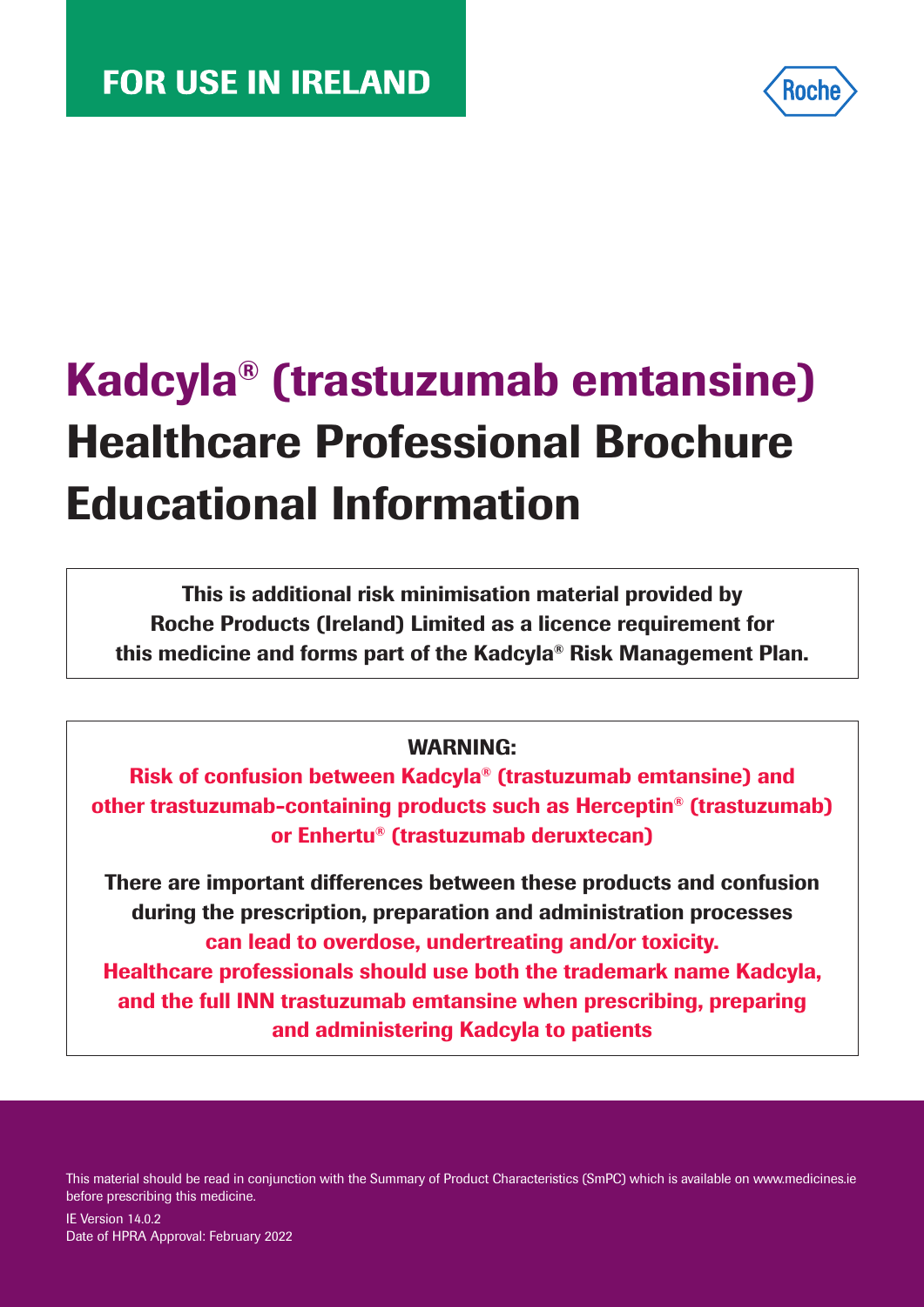

# Kadcyla® (trastuzumab emtansine) Healthcare Professional Brochure Educational Information

This is additional risk minimisation material provided by Roche Products (Ireland) Limited as a licence requirement for this medicine and forms part of the Kadcyla® Risk Management Plan.

#### WARNING:

Risk of confusion between Kadcyla® (trastuzumab emtansine) and other trastuzumab-containing products such as Herceptin® (trastuzumab) or Enhertu® (trastuzumab deruxtecan)

There are important differences between these products and confusion during the prescription, preparation and administration processes can lead to overdose, undertreating and/or toxicity. Healthcare professionals should use both the trademark name Kadcyla, and the full INN trastuzumab emtansine when prescribing, preparing and administering Kadcyla to patients

This material should be read in conjunction with the Summary of Product Characteristics (SmPC) which is available on www.medicines.ie before prescribing this medicine.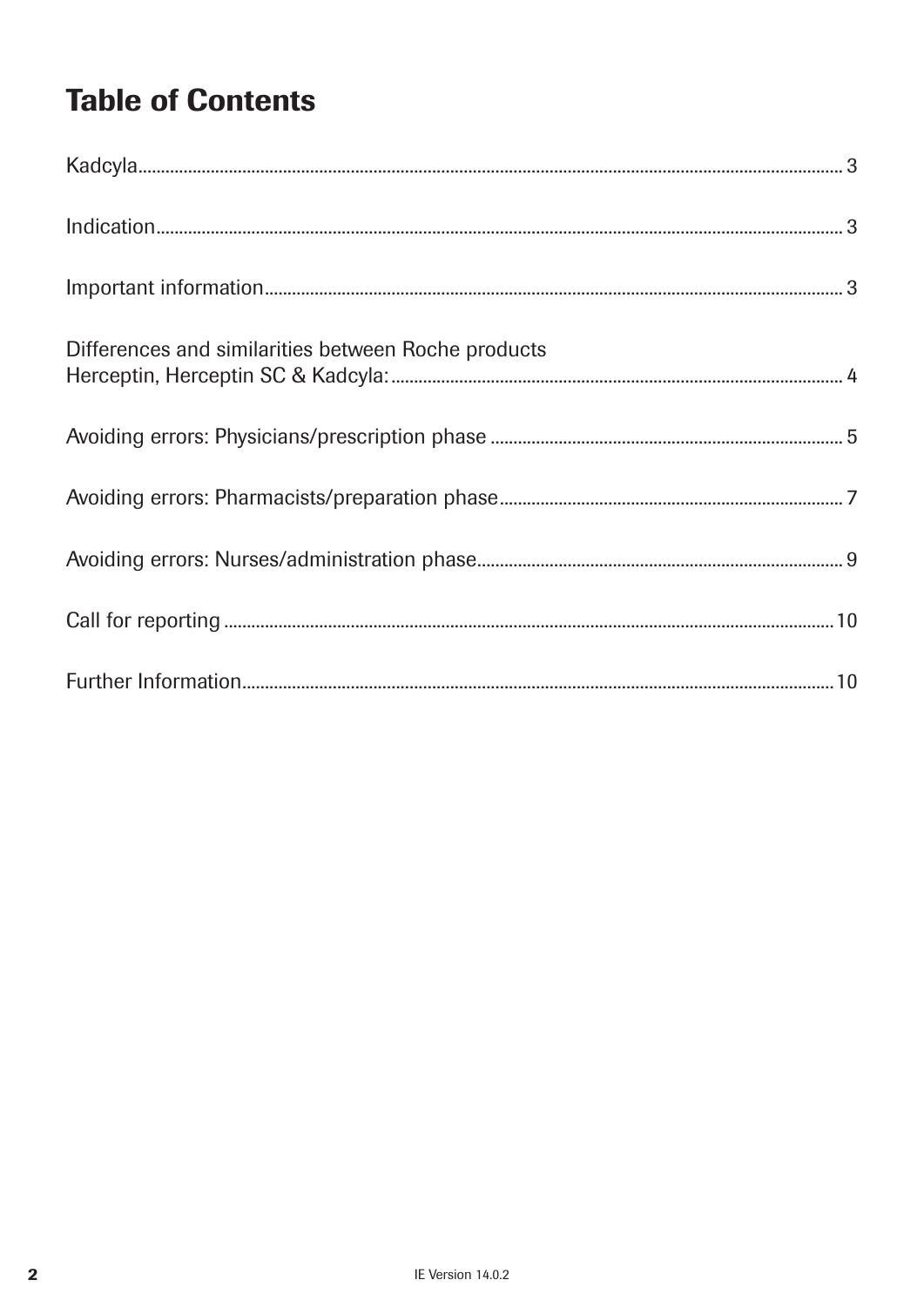# **Table of Contents**

| $Indication. 3$                                     |  |
|-----------------------------------------------------|--|
|                                                     |  |
| Differences and similarities between Roche products |  |
|                                                     |  |
|                                                     |  |
|                                                     |  |
|                                                     |  |
|                                                     |  |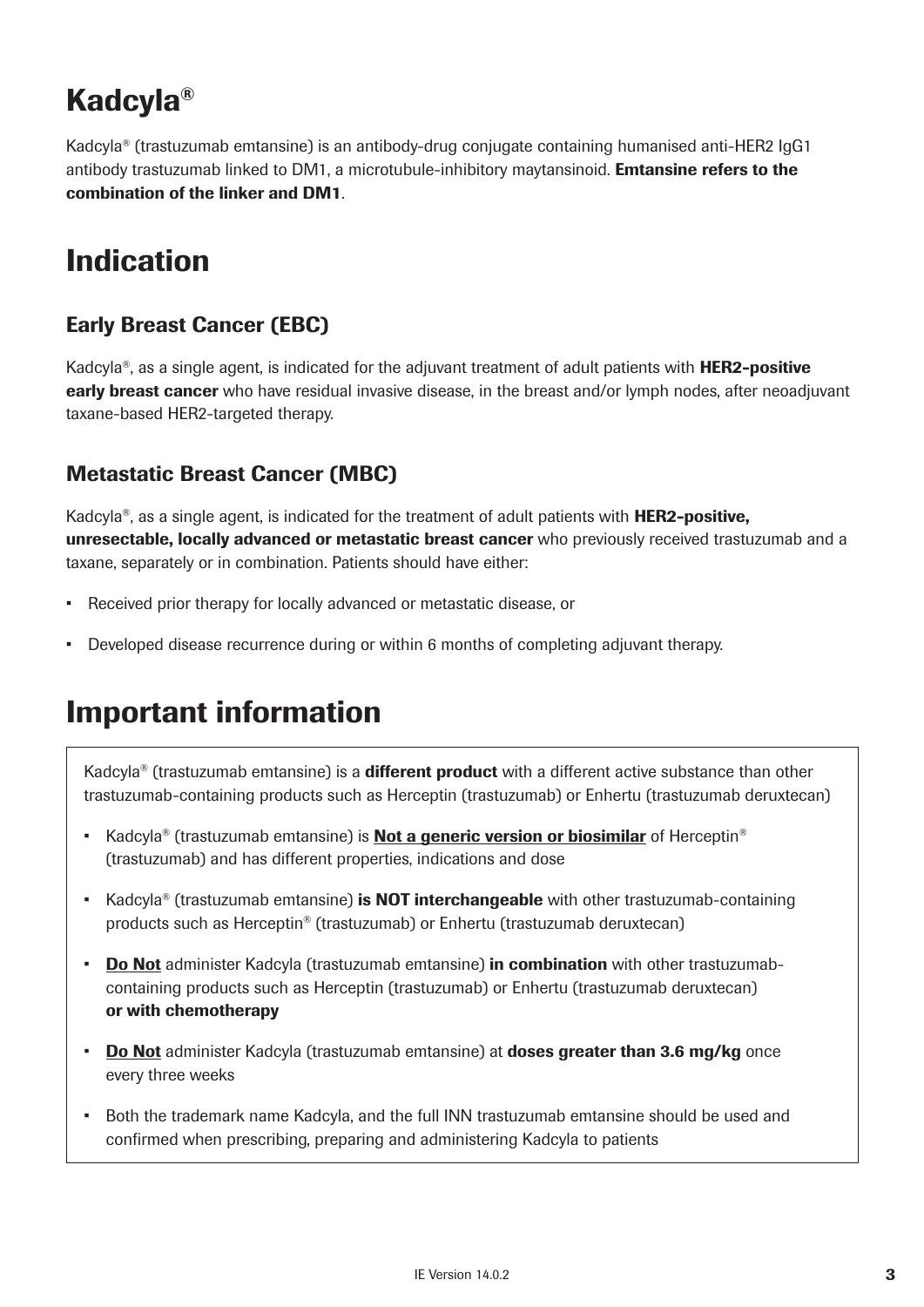# Kadcyla®

Kadcyla® (trastuzumab emtansine) is an antibody-drug conjugate containing humanised anti-HER2 IgG1 antibody trastuzumab linked to DM1, a microtubule-inhibitory maytansinoid. **Emtansine refers to the** combination of the linker and DM1.

### Indication

#### Early Breast Cancer (EBC)

Kadcyla<sup>®</sup>, as a single agent, is indicated for the adjuvant treatment of adult patients with **HER2-positive early breast cancer** who have residual invasive disease, in the breast and/or lymph nodes, after neoadjuvant taxane-based HER2-targeted therapy.

#### Metastatic Breast Cancer (MBC)

Kadcyla<sup>®</sup>, as a single agent, is indicated for the treatment of adult patients with **HER2-positive,** unresectable, locally advanced or metastatic breast cancer who previously received trastuzumab and a taxane, separately or in combination. Patients should have either:

- Received prior therapy for locally advanced or metastatic disease, or
- Developed disease recurrence during or within 6 months of completing adjuvant therapy.

## Important information

Kadcyla<sup>®</sup> (trastuzumab emtansine) is a **different product** with a different active substance than other trastuzumab-containing products such as Herceptin (trastuzumab) or Enhertu (trastuzumab deruxtecan)

- Kadcyla<sup>®</sup> (trastuzumab emtansine) is **Not a generic version or biosimilar** of Herceptin<sup>®</sup> (trastuzumab) and has different properties, indications and dose
- Kadcyla<sup>®</sup> (trastuzumab emtansine) is **NOT interchangeable** with other trastuzumab-containing products such as Herceptin® (trastuzumab) or Enhertu (trastuzumab deruxtecan)
- **Do Not** administer Kadcyla (trastuzumab emtansine) **in combination** with other trastuzumabcontaining products such as Herceptin (trastuzumab) or Enhertu (trastuzumab deruxtecan) or with chemotherapy
- **Do Not** administer Kadcyla (trastuzumab emtansine) at **doses greater than 3.6 mg/kg** once every three weeks
- Both the trademark name Kadcyla, and the full INN trastuzumab emtansine should be used and confirmed when prescribing, preparing and administering Kadcyla to patients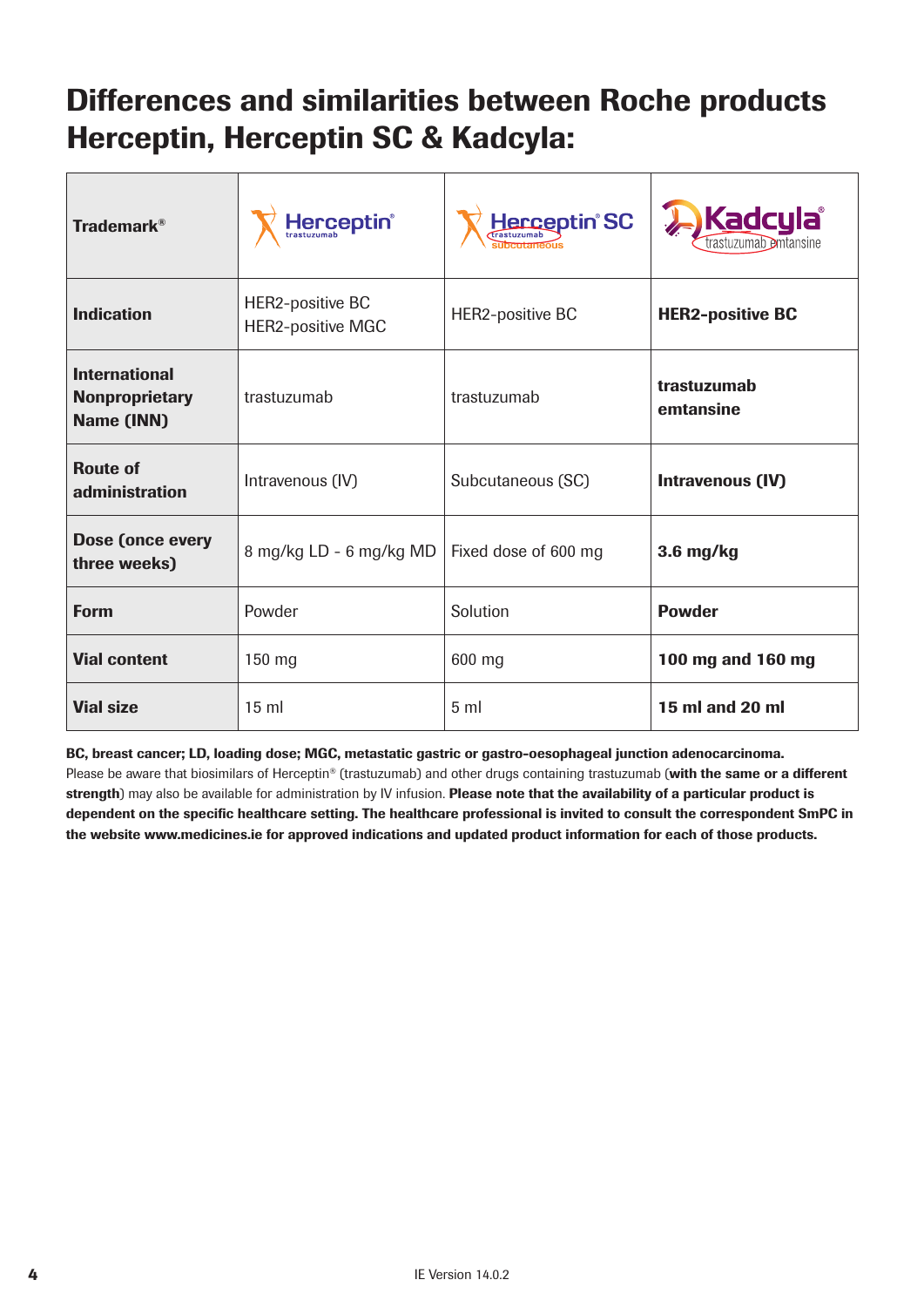## Differences and similarities between Roche products Herceptin, Herceptin SC & Kadcyla:

| <b>Trademark®</b>                                           | Herceptin®                                   | Herceptin <sup>®</sup> SC               | <b>Kadcyla</b><br>trastuzumab emtansine |  |
|-------------------------------------------------------------|----------------------------------------------|-----------------------------------------|-----------------------------------------|--|
| <b>Indication</b>                                           | HER2-positive BC<br><b>HER2-positive MGC</b> | HER2-positive BC                        | <b>HER2-positive BC</b>                 |  |
| <b>International</b><br><b>Nonproprietary</b><br>Name (INN) | trastuzumab                                  | trastuzumab<br>trastuzumab<br>emtansine |                                         |  |
| <b>Route of</b><br>administration                           | Intravenous (IV)                             | Subcutaneous (SC)                       | Intravenous (IV)                        |  |
| Dose (once every<br>8 mg/kg LD - 6 mg/kg MD<br>three weeks) |                                              | Fixed dose of 600 mg                    | $3.6$ mg/kg                             |  |
| <b>Form</b>                                                 | Powder                                       | Solution                                | <b>Powder</b>                           |  |
| <b>Vial content</b>                                         | 150 mg                                       | 600 mg                                  | 100 mg and 160 mg                       |  |
| <b>Vial size</b>                                            | 15 <sub>m</sub>                              | 5 <sub>m</sub>                          | 15 ml and 20 ml                         |  |

BC, breast cancer; LD, loading dose; MGC, metastatic gastric or gastro-oesophageal junction adenocarcinoma. Please be aware that biosimilars of Herceptin® (trastuzumab) and other drugs containing trastuzumab (with the same or a different strength) may also be available for administration by IV infusion. Please note that the availability of a particular product is dependent on the specific healthcare setting. The healthcare professional is invited to consult the correspondent SmPC in the website www.medicines.ie for approved indications and updated product information for each of those products.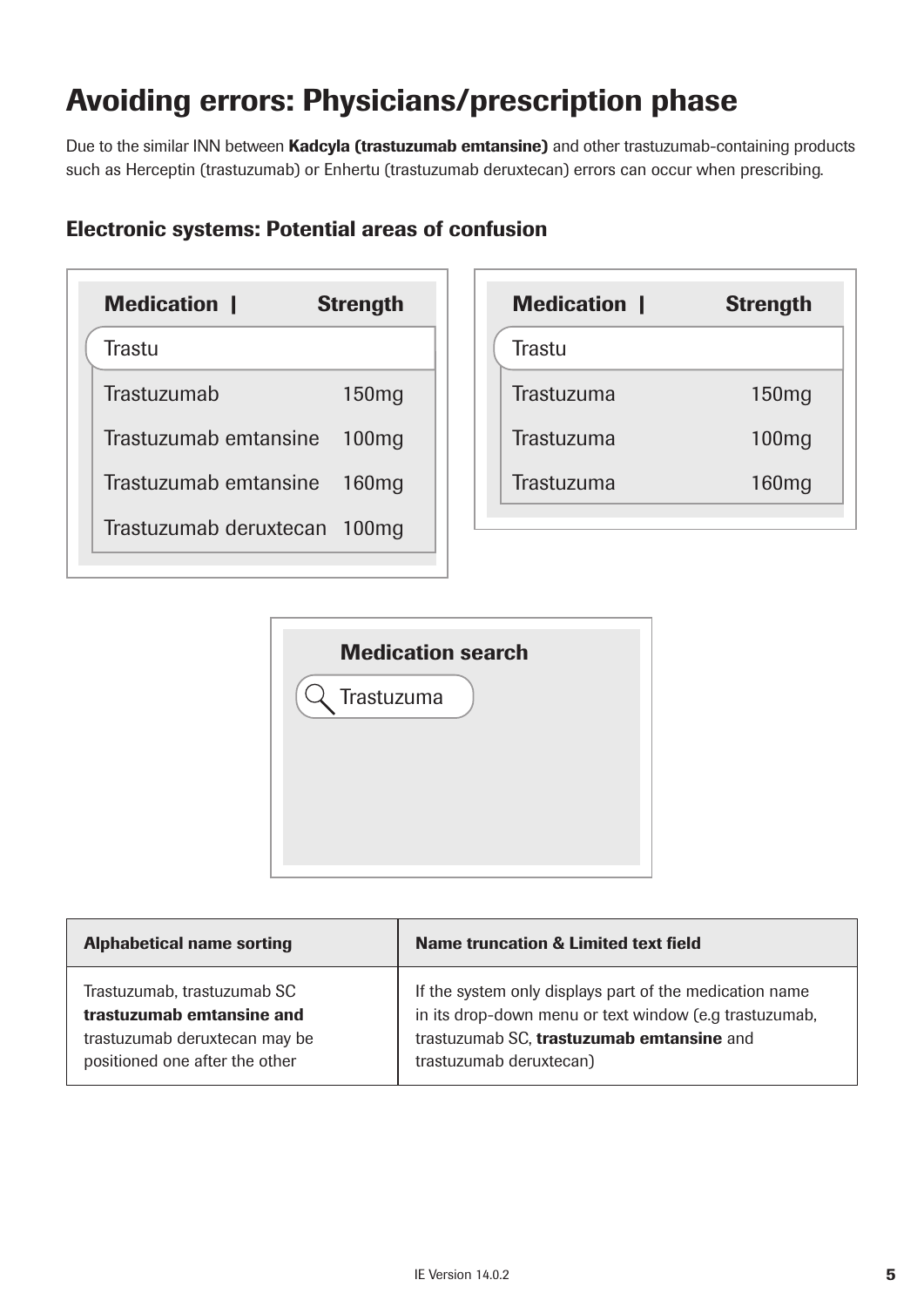# Avoiding errors: Physicians/prescription phase

Due to the similar INN between Kadcyla (trastuzumab emtansine) and other trastuzumab-containing products such as Herceptin (trastuzumab) or Enhertu (trastuzumab deruxtecan) errors can occur when prescribing.

#### Electronic systems: Potential areas of confusion





| <b>Alphabetical name sorting</b> | <b>Name truncation &amp; Limited text field</b>         |
|----------------------------------|---------------------------------------------------------|
| Trastuzumab, trastuzumab SC      | If the system only displays part of the medication name |
| trastuzumab emtansine and        | in its drop-down menu or text window (e.g trastuzumab,  |
| trastuzumab deruxtecan may be    | trastuzumab SC, trastuzumab emtansine and               |
| positioned one after the other   | trastuzumab deruxtecan)                                 |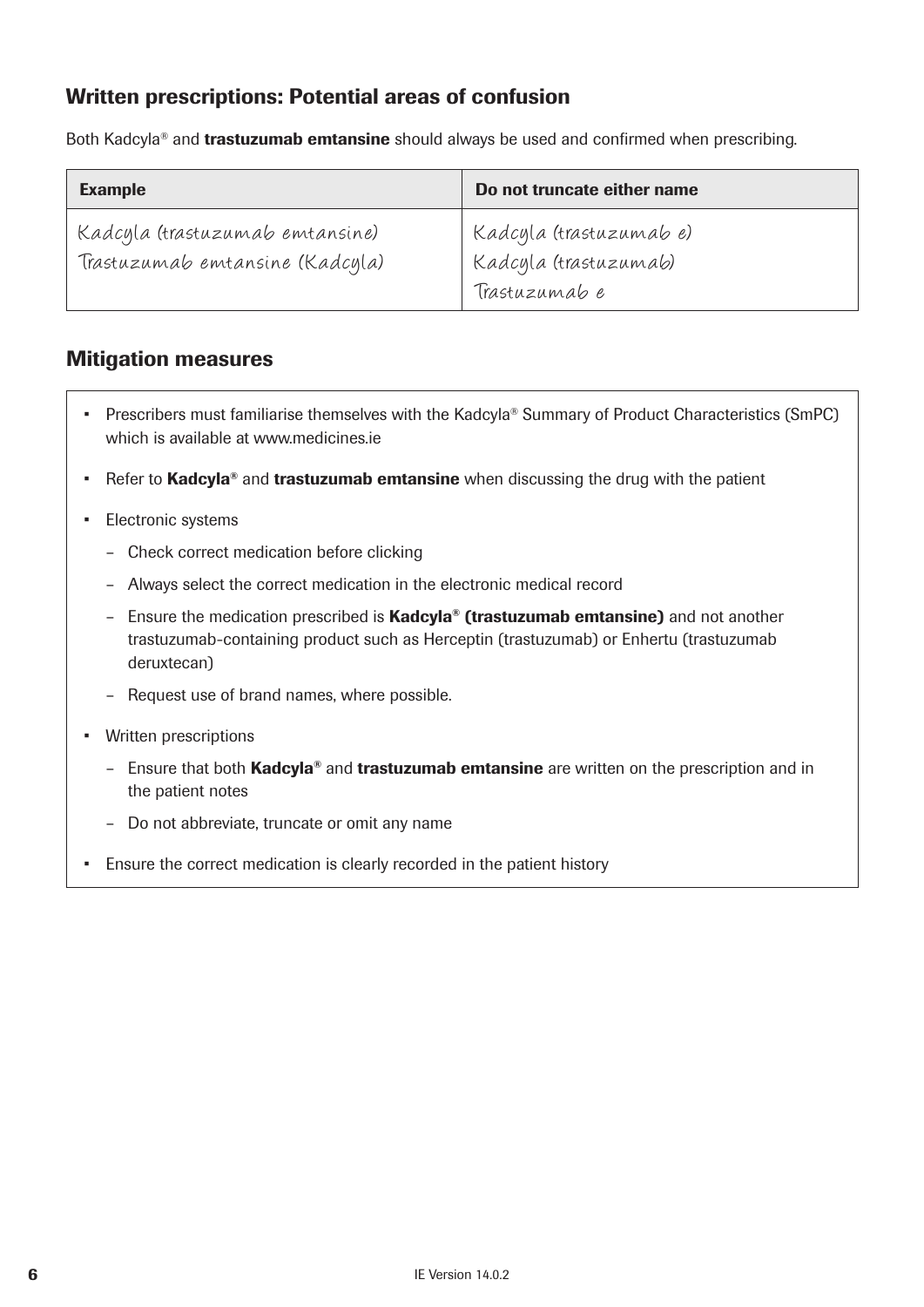#### Written prescriptions: Potential areas of confusion

Both Kadcyla<sup>®</sup> and **trastuzumab emtansine** should always be used and confirmed when prescribing.

| <b>Example</b>                                                     | Do not truncate either name                                       |
|--------------------------------------------------------------------|-------------------------------------------------------------------|
| Kadcyla (trastuzumab emtansine)<br>Trastuzumab emtansine (Kadcyla) | Kadcyla (trastuzumab e)<br>Kadcyla (trastuzumab)<br>Trastuzumab e |

#### Mitigation measures

- Prescribers must familiarise themselves with the Kadcyla® Summary of Product Characteristics (SmPC) which is available at www.medicines.ie
- Refer to Kadcyla<sup>®</sup> and trastuzumab emtansine when discussing the drug with the patient
- Electronic systems
	- Check correct medication before clicking
	- Always select the correct medication in the electronic medical record
	- Ensure the medication prescribed is **Kadcyla<sup>®</sup> (trastuzumab emtansine)** and not another trastuzumab-containing product such as Herceptin (trastuzumab) or Enhertu (trastuzumab deruxtecan)
	- Request use of brand names, where possible.
- Written prescriptions
	- Ensure that both Kadcyla<sup>®</sup> and trastuzumab emtansine are written on the prescription and in the patient notes
	- Do not abbreviate, truncate or omit any name
- Ensure the correct medication is clearly recorded in the patient history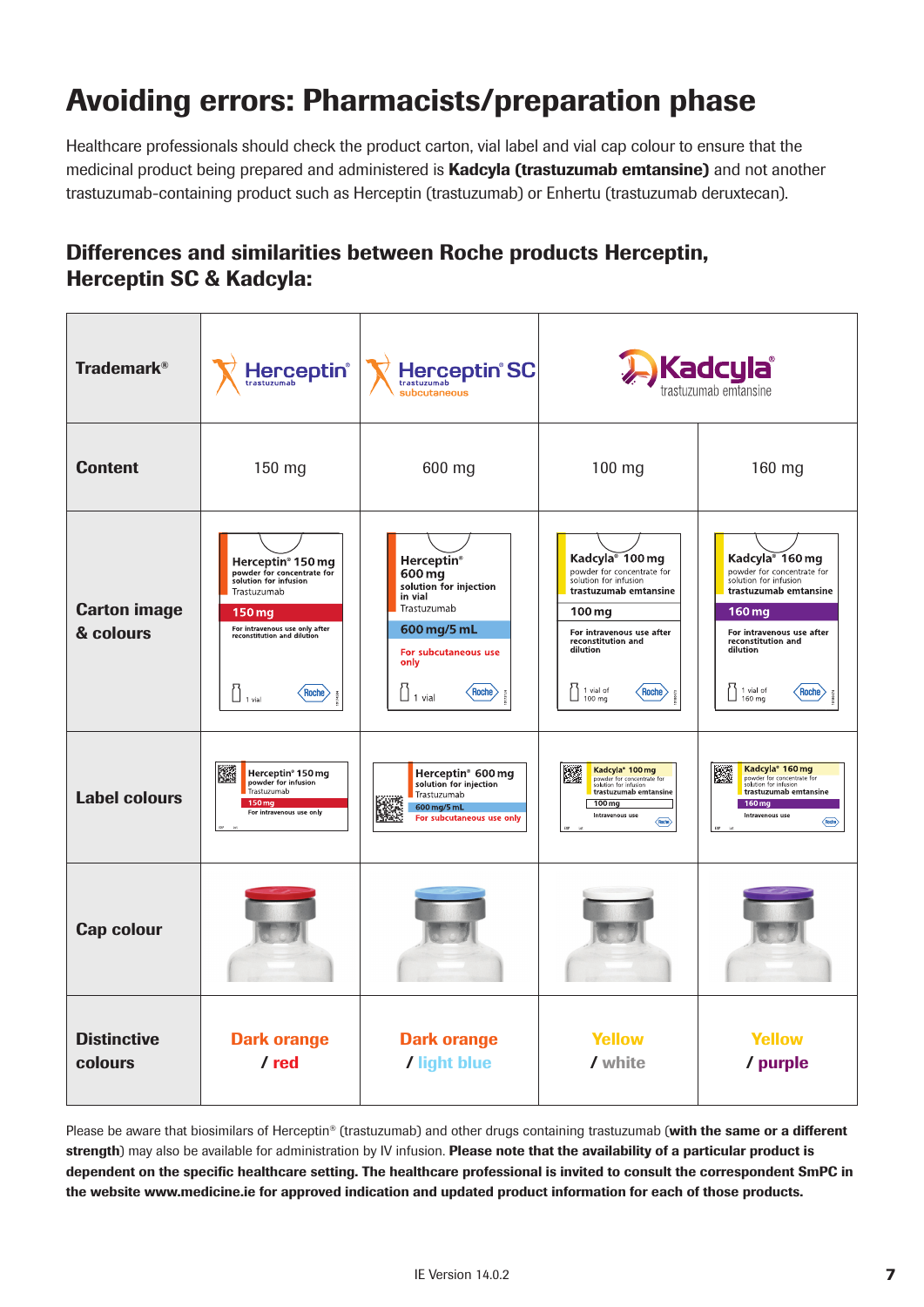# Avoiding errors: Pharmacists/preparation phase

Healthcare professionals should check the product carton, vial label and vial cap colour to ensure that the medicinal product being prepared and administered is **Kadcyla (trastuzumab emtansine)** and not another trastuzumab-containing product such as Herceptin (trastuzumab) or Enhertu (trastuzumab deruxtecan).

#### Differences and similarities between Roche products Herceptin, Herceptin SC & Kadcyla:

| <b>Trademark®</b>                | Herceptin®<br>trastuzumab                                                                                                                                                                                | <b>Herceptin<sup>®</sup>SC</b><br>trastuzumab<br>subcutaneous                                                                                                                            | Kadcyla<br>trastuzumab emtansine                                                                                                                                                                                                           |                                                                                                                                                                                                                              |
|----------------------------------|----------------------------------------------------------------------------------------------------------------------------------------------------------------------------------------------------------|------------------------------------------------------------------------------------------------------------------------------------------------------------------------------------------|--------------------------------------------------------------------------------------------------------------------------------------------------------------------------------------------------------------------------------------------|------------------------------------------------------------------------------------------------------------------------------------------------------------------------------------------------------------------------------|
| <b>Content</b>                   | 150 mg                                                                                                                                                                                                   | 600 mg                                                                                                                                                                                   | $100$ mg                                                                                                                                                                                                                                   | 160 mg                                                                                                                                                                                                                       |
| <b>Carton image</b><br>& colours | Herceptin <sup>®</sup> 150 mg<br>powder for concentrate for<br>solution for infusion<br>Trastuzumab<br>150 mg<br>For intravenous use only after<br>reconstitution and dilution<br>Roche<br>$\Box$ 1 vial | <b>Herceptin</b> <sup>®</sup><br>600 mg<br>solution for injection<br>in vial<br>Trastuzumab<br>600 mg/5 mL<br>For subcutaneous use<br>only<br>$\langle$ Roche $\rangle$<br>$\Box$ 1 vial | Kadcyla <sup>®</sup> 100 mg<br>powder for concentrate for<br>solution for infusion<br>trastuzumab emtansine<br>$100 \,\mathrm{mg}$<br>For intravenous use after<br>reconstitution and<br>dilution<br>1 vial of<br>$\zeta$ Roche)<br>100 mg | Kadcyla <sup>®</sup> 160 mg<br>powder for concentrate for<br>solution for infusion<br>trastuzumab emtansine<br>160 mg<br>For intravenous use after<br>reconstitution and<br>dilution<br>1 vial of<br>$\zeta$ Roche<br>160 mg |
| <b>Label colours</b>             | 鐆<br>Herceptin <sup>®</sup> 150 mg<br>powder for infusion<br>Trastuzumab<br>150 mg<br>For intravenous use only                                                                                           | Herceptin <sup>®</sup> 600 mg<br>solution for injection<br>Trastuzumab<br>600 mg/5 mL<br>For subcutaneous use only                                                                       | Kadcyla <sup>®</sup> 100 mg<br>躩<br>powder for concentrate for<br>solution for infusion<br>trastuzumab emtansine<br>100 mg<br>Intravenous use<br>$\langle$ Riche $\rangle$                                                                 | Kadcyla <sup>*</sup> 160 mg<br>躚<br>powder for concentrate for<br>solution for infusion<br>trastuzumab emtansine<br>$160 \,\mathrm{mg}$<br>Intravenous use<br>$\langle$ Roche $\rangle$                                      |
| <b>Cap colour</b>                |                                                                                                                                                                                                          |                                                                                                                                                                                          |                                                                                                                                                                                                                                            |                                                                                                                                                                                                                              |
| <b>Distinctive</b><br>colours    | <b>Dark orange</b><br>/red                                                                                                                                                                               | <b>Dark orange</b><br>/ light blue                                                                                                                                                       | <b>Yellow</b><br>/ white                                                                                                                                                                                                                   | <b>Yellow</b><br>/ purple                                                                                                                                                                                                    |

Please be aware that biosimilars of Herceptin® (trastuzumab) and other drugs containing trastuzumab (with the same or a different strength) may also be available for administration by IV infusion. Please note that the availability of a particular product is dependent on the specific healthcare setting. The healthcare professional is invited to consult the correspondent SmPC in the website www.medicine.ie for approved indication and updated product information for each of those products.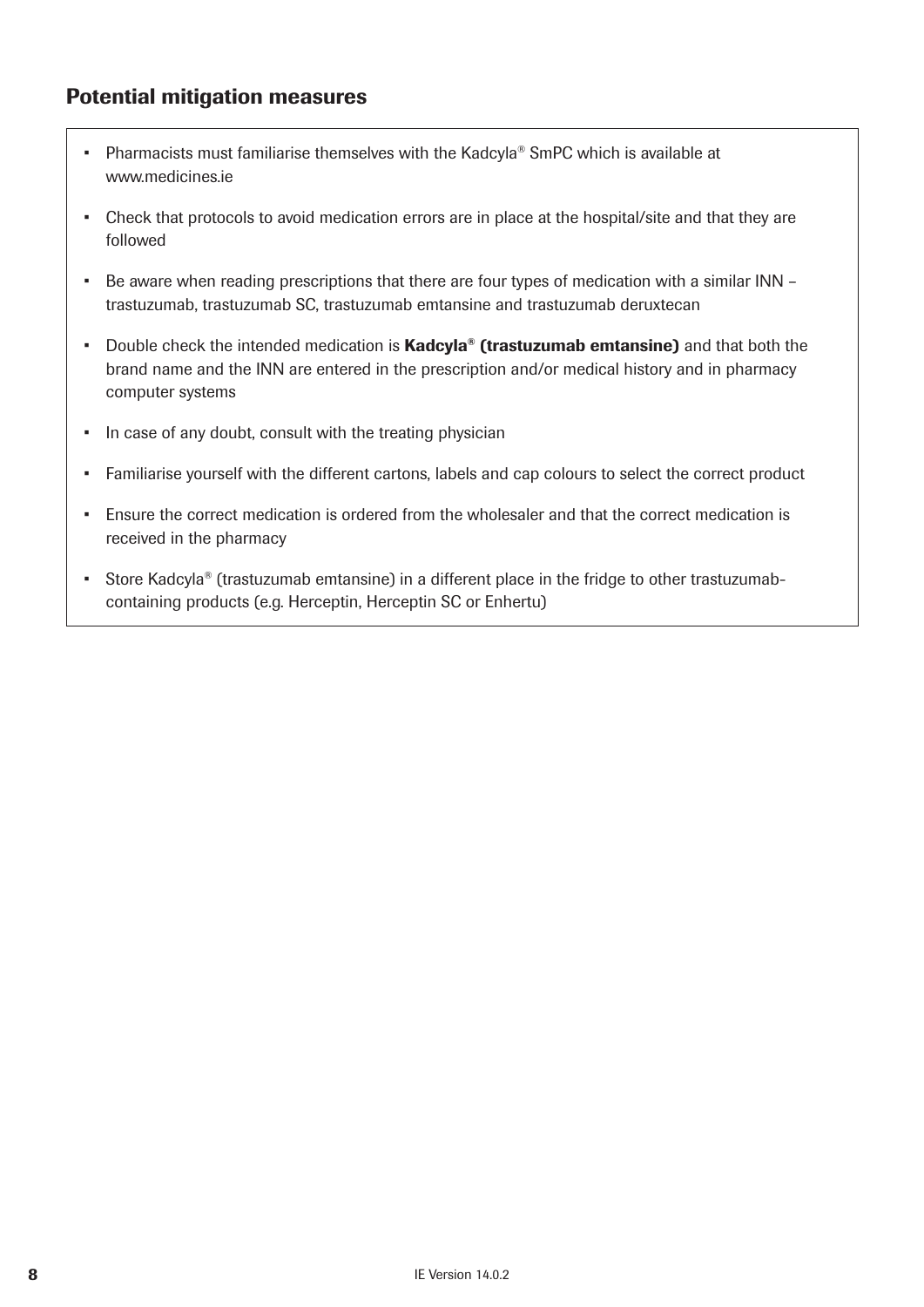#### Potential mitigation measures

- Pharmacists must familiarise themselves with the Kadcyla® SmPC which is available at www.medicines.ie
- Check that protocols to avoid medication errors are in place at the hospital/site and that they are followed
- Be aware when reading prescriptions that there are four types of medication with a similar INN trastuzumab, trastuzumab SC, trastuzumab emtansine and trastuzumab deruxtecan
- Double check the intended medication is **Kadcyla<sup>®</sup> (trastuzumab emtansine)** and that both the brand name and the INN are entered in the prescription and/or medical history and in pharmacy computer systems
- In case of any doubt, consult with the treating physician
- Familiarise yourself with the different cartons, labels and cap colours to select the correct product
- Ensure the correct medication is ordered from the wholesaler and that the correct medication is received in the pharmacy
- Store Kadcyla® (trastuzumab emtansine) in a different place in the fridge to other trastuzumabcontaining products (e.g. Herceptin, Herceptin SC or Enhertu)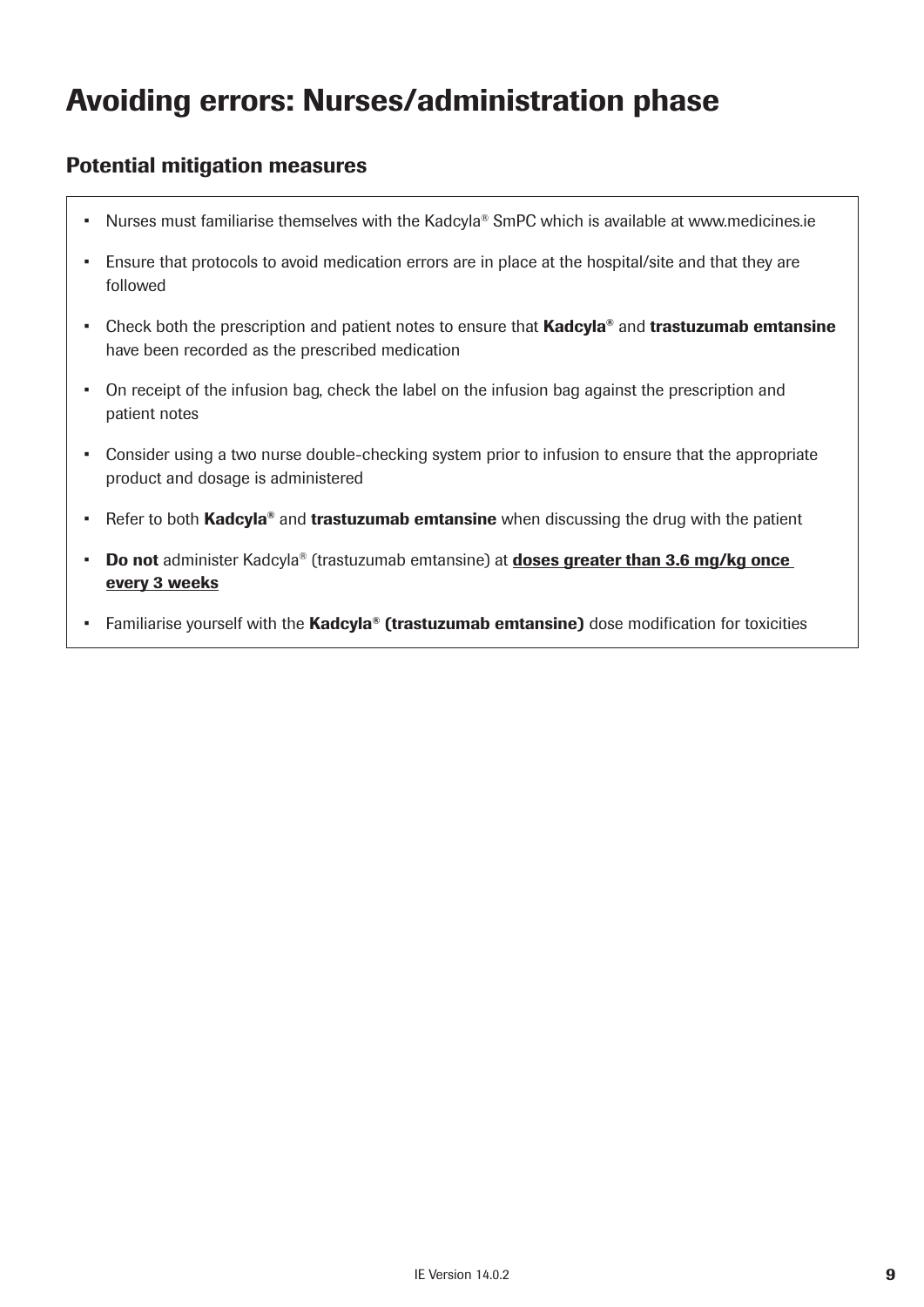# Avoiding errors: Nurses/administration phase

#### Potential mitigation measures

- Nurses must familiarise themselves with the Kadcyla® SmPC which is available at www.medicines.ie
- Ensure that protocols to avoid medication errors are in place at the hospital/site and that they are followed
- Check both the prescription and patient notes to ensure that Kadcyla<sup>®</sup> and trastuzumab emtansine have been recorded as the prescribed medication
- On receipt of the infusion bag, check the label on the infusion bag against the prescription and patient notes
- Consider using a two nurse double-checking system prior to infusion to ensure that the appropriate product and dosage is administered
- Refer to both Kadcyla<sup>®</sup> and trastuzumab emtansine when discussing the drug with the patient
- Do not administer Kadcyla® (trastuzumab emtansine) at **doses greater than 3.6 mg/kg once** every 3 weeks
- Familiarise yourself with the Kadcyla® (trastuzumab emtansine) dose modification for toxicities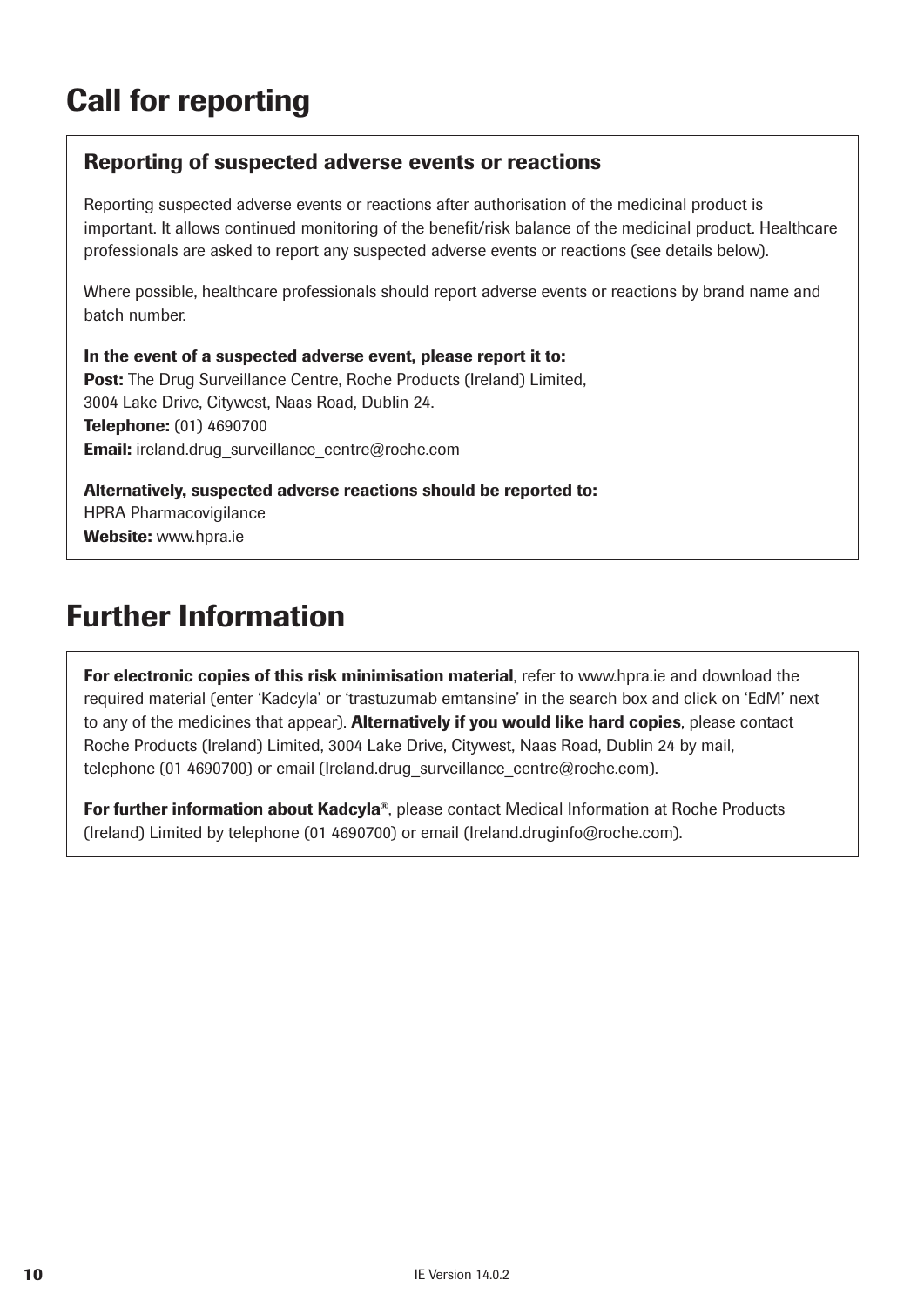# Call for reporting

#### Reporting of suspected adverse events or reactions

Reporting suspected adverse events or reactions after authorisation of the medicinal product is important. It allows continued monitoring of the benefit/risk balance of the medicinal product. Healthcare professionals are asked to report any suspected adverse events or reactions (see details below).

Where possible, healthcare professionals should report adverse events or reactions by brand name and batch number.

In the event of a suspected adverse event, please report it to: Post: The Drug Surveillance Centre, Roche Products (Ireland) Limited, 3004 Lake Drive, Citywest, Naas Road, Dublin 24. Telephone: (01) 4690700 **Email:** ireland.drug\_surveillance\_centre@roche.com

Alternatively, suspected adverse reactions should be reported to: HPRA Pharmacovigilance Website: www.hpra.ie

# Further Information

For electronic copies of this risk minimisation material, refer to www.hpra.ie and download the required material (enter 'Kadcyla' or 'trastuzumab emtansine' in the search box and click on 'EdM' next to any of the medicines that appear). Alternatively if you would like hard copies, please contact Roche Products (Ireland) Limited, 3004 Lake Drive, Citywest, Naas Road, Dublin 24 by mail, telephone (01 4690700) or email (Ireland.drug\_surveillance\_centre@roche.com).

**For further information about Kadcyla®**, please contact Medical Information at Roche Products (Ireland) Limited by telephone (01 4690700) or email (Ireland.druginfo@roche.com).